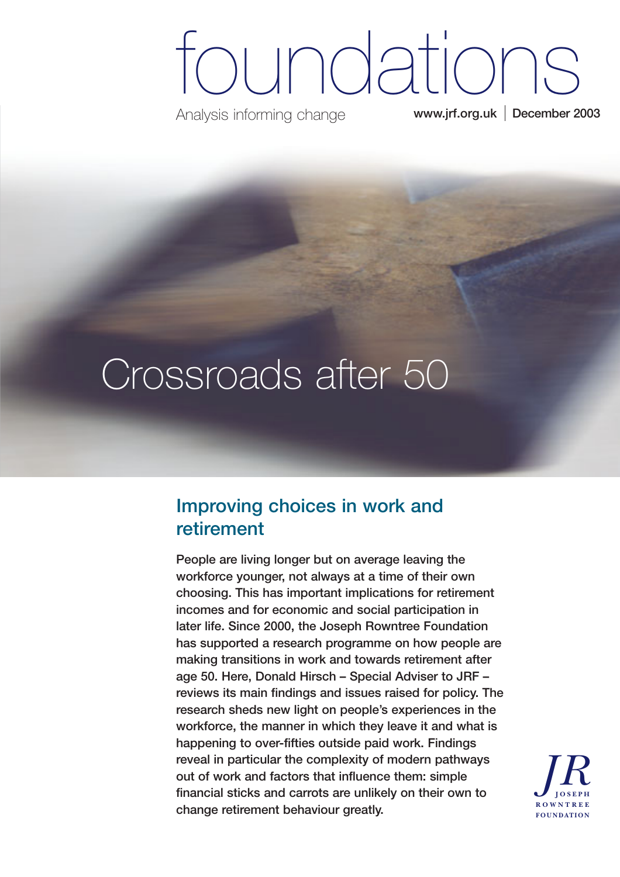# **www.jrf.org.uk December 2003** oundations

Analysis informing change

# Crossroads after 50

## **Improving choices in work and retirement**

**People are living longer but on average leaving the workforce younger, not always at a time of their own choosing. This has important implications for retirement incomes and for economic and social participation in later life. Since 2000, the Joseph Rowntree Foundation has supported a research programme on how people are making transitions in work and towards retirement after age 50. Here, Donald Hirsch – Special Adviser to JRF – reviews its main findings and issues raised for policy. The research sheds new light on people's experiences in the workforce, the manner in which they leave it and what is happening to over-fifties outside paid work. Findings reveal in particular the complexity of modern pathways out of work and factors that influence them: simple financial sticks and carrots are unlikely on their own to change retirement behaviour greatly.**

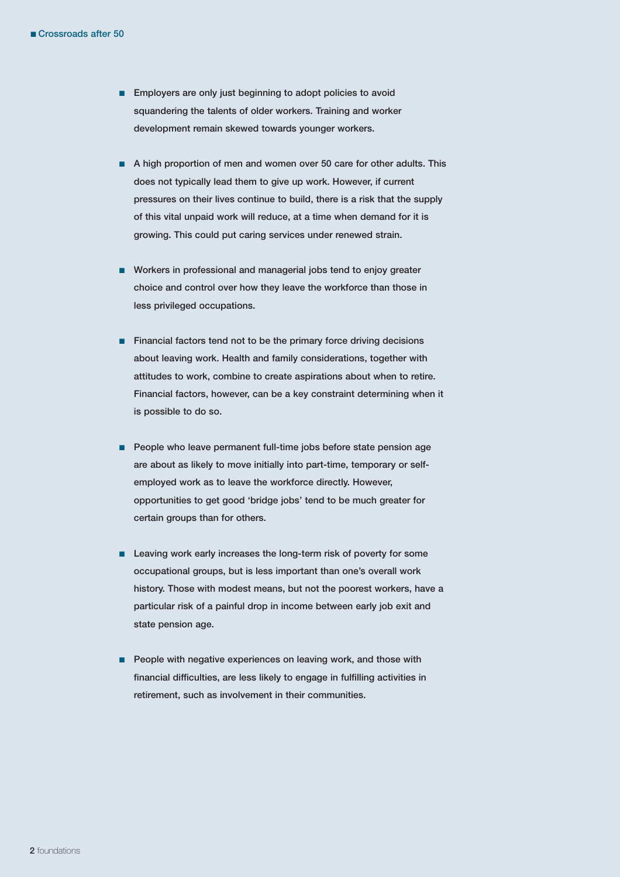- **Employers are only just beginning to adopt policies to avoid squandering the talents of older workers. Training and worker development remain skewed towards younger workers.**
- A high proportion of men and women over 50 care for other adults. This **does not typically lead them to give up work. However, if current pressures on their lives continue to build, there is a risk that the supply of this vital unpaid work will reduce, at a time when demand for it is growing. This could put caring services under renewed strain.**
- Workers in professional and managerial jobs tend to enjoy greater **choice and control over how they leave the workforce than those in less privileged occupations.**
- **Financial factors tend not to be the primary force driving decisions about leaving work. Health and family considerations, together with attitudes to work, combine to create aspirations about when to retire. Financial factors, however, can be a key constraint determining when it is possible to do so.**
- **People who leave permanent full-time jobs before state pension age are about as likely to move initially into part-time, temporary or selfemployed work as to leave the workforce directly. However, opportunities to get good 'bridge jobs' tend to be much greater for certain groups than for others.**
- Leaving work early increases the long-term risk of poverty for some **occupational groups, but is less important than one's overall work history. Those with modest means, but not the poorest workers, have a particular risk of a painful drop in income between early job exit and state pension age.**
- **People with negative experiences on leaving work, and those with financial difficulties, are less likely to engage in fulfilling activities in retirement, such as involvement in their communities.**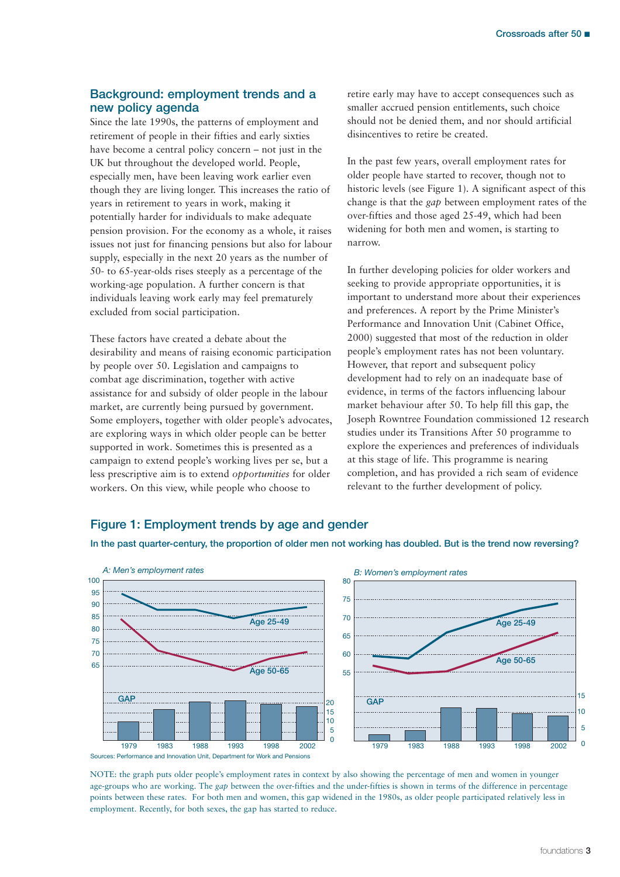### **Background: employment trends and a new policy agenda**

Since the late 1990s, the patterns of employment and retirement of people in their fifties and early sixties have become a central policy concern – not just in the UK but throughout the developed world. People, especially men, have been leaving work earlier even though they are living longer. This increases the ratio of years in retirement to years in work, making it potentially harder for individuals to make adequate pension provision. For the economy as a whole, it raises issues not just for financing pensions but also for labour supply, especially in the next 20 years as the number of 50- to 65-year-olds rises steeply as a percentage of the working-age population. A further concern is that individuals leaving work early may feel prematurely excluded from social participation.

These factors have created a debate about the desirability and means of raising economic participation by people over 50. Legislation and campaigns to combat age discrimination, together with active assistance for and subsidy of older people in the labour market, are currently being pursued by government. Some employers, together with older people's advocates, are exploring ways in which older people can be better supported in work. Sometimes this is presented as a campaign to extend people's working lives per se, but a less prescriptive aim is to extend *opportunities* for older workers. On this view, while people who choose to

retire early may have to accept consequences such as smaller accrued pension entitlements, such choice should not be denied them, and nor should artificial disincentives to retire be created.

In the past few years, overall employment rates for older people have started to recover, though not to historic levels (see Figure 1). A significant aspect of this change is that the *gap* between employment rates of the over-fifties and those aged 25-49, which had been widening for both men and women, is starting to narrow.

In further developing policies for older workers and seeking to provide appropriate opportunities, it is important to understand more about their experiences and preferences. A report by the Prime Minister's Performance and Innovation Unit (Cabinet Office, 2000) suggested that most of the reduction in older people's employment rates has not been voluntary. However, that report and subsequent policy development had to rely on an inadequate base of evidence, in terms of the factors influencing labour market behaviour after 50. To help fill this gap, the Joseph Rowntree Foundation commissioned 12 research studies under its Transitions After 50 programme to explore the experiences and preferences of individuals at this stage of life. This programme is nearing completion, and has provided a rich seam of evidence relevant to the further development of policy.

### **Figure 1: Employment trends by age and gender**





Sources: Performance and Innovation Unit, Department for Work and Pensions

NOTE: the graph puts older people's employment rates in context by also showing the percentage of men and women in younger age-groups who are working. The *gap* between the over-fifties and the under-fifties is shown in terms of the difference in percentage points between these rates. For both men and women, this gap widened in the 1980s, as older people participated relatively less in employment. Recently, for both sexes, the gap has started to reduce.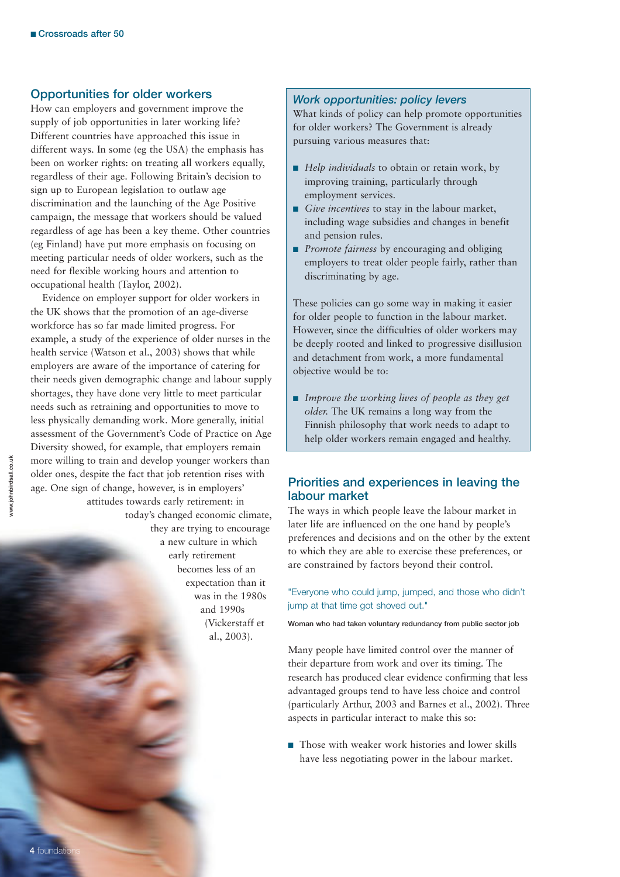#### **Opportunities for older workers**

How can employers and government improve the supply of job opportunities in later working life? Different countries have approached this issue in different ways. In some (eg the USA) the emphasis has been on worker rights: on treating all workers equally, regardless of their age. Following Britain's decision to sign up to European legislation to outlaw age discrimination and the launching of the Age Positive campaign, the message that workers should be valued regardless of age has been a key theme. Other countries (eg Finland) have put more emphasis on focusing on meeting particular needs of older workers, such as the need for flexible working hours and attention to occupational health (Taylor, 2002).

Evidence on employer support for older workers in the UK shows that the promotion of an age-diverse workforce has so far made limited progress. For example, a study of the experience of older nurses in the health service (Watson et al., 2003) shows that while employers are aware of the importance of catering for their needs given demographic change and labour supply shortages, they have done very little to meet particular needs such as retraining and opportunities to move to less physically demanding work. More generally, initial assessment of the Government's Code of Practice on Age Diversity showed, for example, that employers remain more willing to train and develop younger workers than older ones, despite the fact that job retention rises with age. One sign of change, however, is in employers' attitudes towards early retirement: in

today's changed economic climate, they are trying to encourage a new culture in which early retirement becomes less of an expectation than it was in the 1980s and 1990s (Vickerstaff et al., 2003).

#### *Work opportunities: policy levers*

What kinds of policy can help promote opportunities for older workers? The Government is already pursuing various measures that:

- *Help individuals* to obtain or retain work, by improving training, particularly through employment services.
- *Give incentives* to stay in the labour market, including wage subsidies and changes in benefit and pension rules.
- *Promote fairness* by encouraging and obliging employers to treat older people fairly, rather than discriminating by age.

These policies can go some way in making it easier for older people to function in the labour market. However, since the difficulties of older workers may be deeply rooted and linked to progressive disillusion and detachment from work, a more fundamental objective would be to:

■ *Improve the working lives of people as they get older.* The UK remains a long way from the Finnish philosophy that work needs to adapt to help older workers remain engaged and healthy.

#### **Priorities and experiences in leaving the labour market**

The ways in which people leave the labour market in later life are influenced on the one hand by people's preferences and decisions and on the other by the extent to which they are able to exercise these preferences, or are constrained by factors beyond their control.

#### "Everyone who could jump, jumped, and those who didn't jump at that time got shoved out."

**Woman who had taken voluntary redundancy from public sector job** 

Many people have limited control over the manner of their departure from work and over its timing. The research has produced clear evidence confirming that less advantaged groups tend to have less choice and control (particularly Arthur, 2003 and Barnes et al., 2002). Three aspects in particular interact to make this so:

■ Those with weaker work histories and lower skills have less negotiating power in the labour market.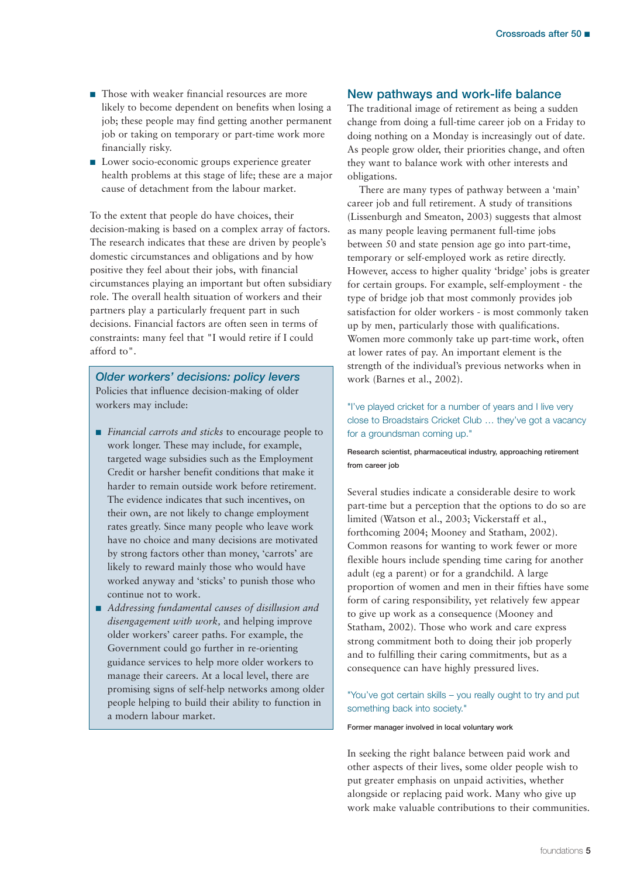- Those with weaker financial resources are more likely to become dependent on benefits when losing a job; these people may find getting another permanent job or taking on temporary or part-time work more financially risky.
- Lower socio-economic groups experience greater health problems at this stage of life; these are a major cause of detachment from the labour market.

To the extent that people do have choices, their decision-making is based on a complex array of factors. The research indicates that these are driven by people's domestic circumstances and obligations and by how positive they feel about their jobs, with financial circumstances playing an important but often subsidiary role. The overall health situation of workers and their partners play a particularly frequent part in such decisions. Financial factors are often seen in terms of constraints: many feel that "I would retire if I could afford to".

*Older workers' decisions: policy levers* Policies that influence decision-making of older workers may include:

- *Financial carrots and sticks* to encourage people to work longer. These may include, for example, targeted wage subsidies such as the Employment Credit or harsher benefit conditions that make it harder to remain outside work before retirement. The evidence indicates that such incentives, on their own, are not likely to change employment rates greatly. Since many people who leave work have no choice and many decisions are motivated by strong factors other than money, 'carrots' are likely to reward mainly those who would have worked anyway and 'sticks' to punish those who continue not to work.
- *Addressing fundamental causes of disillusion and disengagement with work,* and helping improve older workers' career paths. For example, the Government could go further in re-orienting guidance services to help more older workers to manage their careers. At a local level, there are promising signs of self-help networks among older people helping to build their ability to function in a modern labour market.

### **New pathways and work-life balance**

The traditional image of retirement as being a sudden change from doing a full-time career job on a Friday to doing nothing on a Monday is increasingly out of date. As people grow older, their priorities change, and often they want to balance work with other interests and obligations.

There are many types of pathway between a 'main' career job and full retirement. A study of transitions (Lissenburgh and Smeaton, 2003) suggests that almost as many people leaving permanent full-time jobs between 50 and state pension age go into part-time, temporary or self-employed work as retire directly. However, access to higher quality 'bridge' jobs is greater for certain groups. For example, self-employment - the type of bridge job that most commonly provides job satisfaction for older workers - is most commonly taken up by men, particularly those with qualifications. Women more commonly take up part-time work, often at lower rates of pay. An important element is the strength of the individual's previous networks when in work (Barnes et al., 2002).

"I've played cricket for a number of years and I live very close to Broadstairs Cricket Club … they've got a vacancy for a groundsman coming up."

**Research scientist, pharmaceutical industry, approaching retirement from career job**

Several studies indicate a considerable desire to work part-time but a perception that the options to do so are limited (Watson et al., 2003; Vickerstaff et al., forthcoming 2004; Mooney and Statham, 2002). Common reasons for wanting to work fewer or more flexible hours include spending time caring for another adult (eg a parent) or for a grandchild. A large proportion of women and men in their fifties have some form of caring responsibility, yet relatively few appear to give up work as a consequence (Mooney and Statham, 2002). Those who work and care express strong commitment both to doing their job properly and to fulfilling their caring commitments, but as a consequence can have highly pressured lives.

"You've got certain skills – you really ought to try and put something back into society."

**Former manager involved in local voluntary work**

In seeking the right balance between paid work and other aspects of their lives, some older people wish to put greater emphasis on unpaid activities, whether alongside or replacing paid work. Many who give up work make valuable contributions to their communities.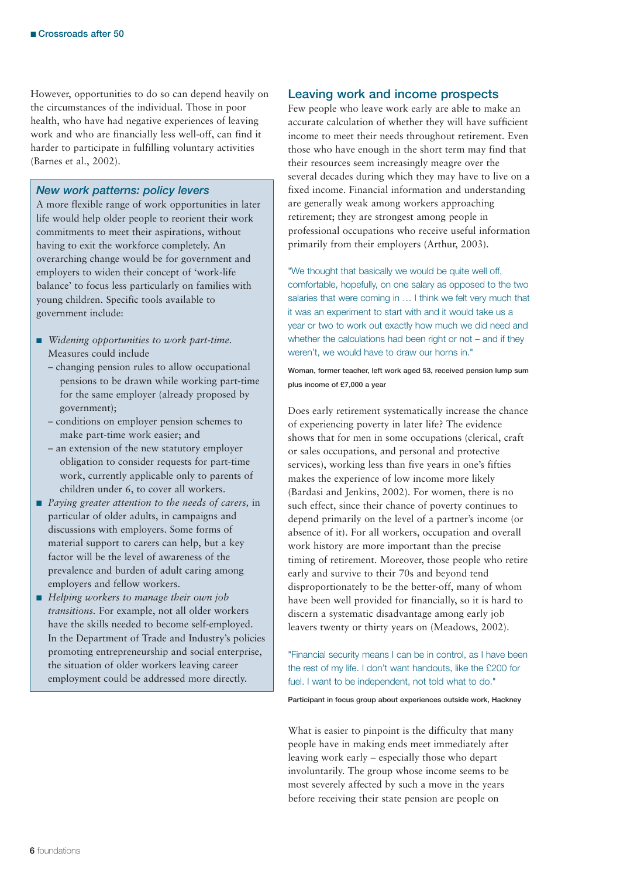However, opportunities to do so can depend heavily on the circumstances of the individual. Those in poor health, who have had negative experiences of leaving work and who are financially less well-off, can find it harder to participate in fulfilling voluntary activities (Barnes et al., 2002).

#### *New work patterns: policy levers*

A more flexible range of work opportunities in later life would help older people to reorient their work commitments to meet their aspirations, without having to exit the workforce completely. An overarching change would be for government and employers to widen their concept of 'work-life balance' to focus less particularly on families with young children. Specific tools available to government include:

- *Widening opportunities to work part-time.* Measures could include
	- changing pension rules to allow occupational pensions to be drawn while working part-time for the same employer (already proposed by government);
	- conditions on employer pension schemes to make part-time work easier; and
	- an extension of the new statutory employer obligation to consider requests for part-time work, currently applicable only to parents of children under 6, to cover all workers.
- *Paying greater attention to the needs of carers, in* particular of older adults, in campaigns and discussions with employers. Some forms of material support to carers can help, but a key factor will be the level of awareness of the prevalence and burden of adult caring among employers and fellow workers.
- *Helping workers to manage their own job transitions.* For example, not all older workers have the skills needed to become self-employed. In the Department of Trade and Industry's policies promoting entrepreneurship and social enterprise, the situation of older workers leaving career employment could be addressed more directly.

#### **Leaving work and income prospects**

Few people who leave work early are able to make an accurate calculation of whether they will have sufficient income to meet their needs throughout retirement. Even those who have enough in the short term may find that their resources seem increasingly meagre over the several decades during which they may have to live on a fixed income. Financial information and understanding are generally weak among workers approaching retirement; they are strongest among people in professional occupations who receive useful information primarily from their employers (Arthur, 2003).

"We thought that basically we would be quite well off, comfortable, hopefully, on one salary as opposed to the two salaries that were coming in … I think we felt very much that it was an experiment to start with and it would take us a year or two to work out exactly how much we did need and whether the calculations had been right or not  $-$  and if they weren't, we would have to draw our horns in."

**Woman, former teacher, left work aged 53, received pension lump sum plus income of £7,000 a year**

Does early retirement systematically increase the chance of experiencing poverty in later life? The evidence shows that for men in some occupations (clerical, craft or sales occupations, and personal and protective services), working less than five years in one's fifties makes the experience of low income more likely (Bardasi and Jenkins, 2002). For women, there is no such effect, since their chance of poverty continues to depend primarily on the level of a partner's income (or absence of it). For all workers, occupation and overall work history are more important than the precise timing of retirement. Moreover, those people who retire early and survive to their 70s and beyond tend disproportionately to be the better-off, many of whom have been well provided for financially, so it is hard to discern a systematic disadvantage among early job leavers twenty or thirty years on (Meadows, 2002).

"Financial security means I can be in control, as I have been the rest of my life. I don't want handouts, like the £200 for fuel. I want to be independent, not told what to do."

**Participant in focus group about experiences outside work, Hackney**

What is easier to pinpoint is the difficulty that many people have in making ends meet immediately after leaving work early – especially those who depart involuntarily. The group whose income seems to be most severely affected by such a move in the years before receiving their state pension are people on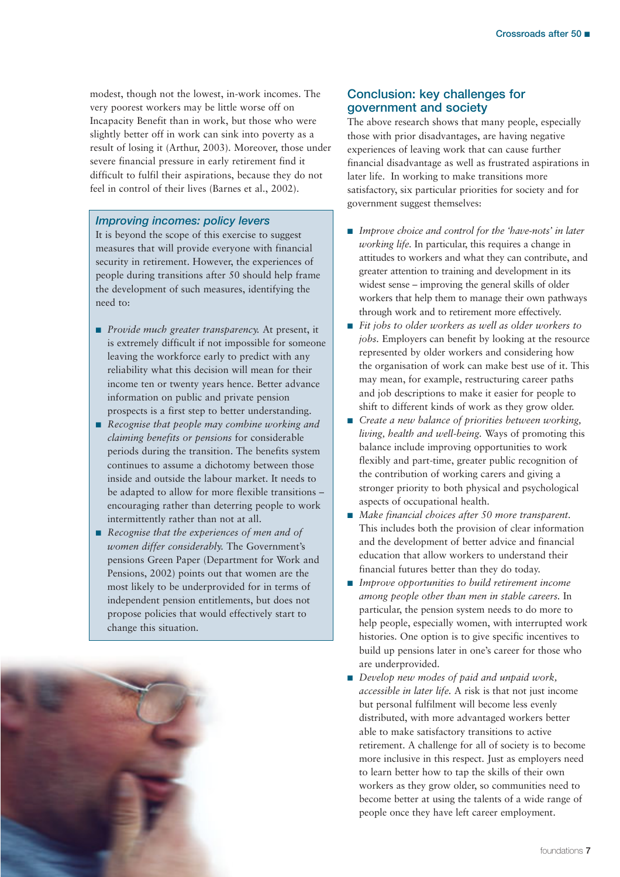modest, though not the lowest, in-work incomes. The very poorest workers may be little worse off on Incapacity Benefit than in work, but those who were slightly better off in work can sink into poverty as a result of losing it (Arthur, 2003). Moreover, those under severe financial pressure in early retirement find it difficult to fulfil their aspirations, because they do not feel in control of their lives (Barnes et al., 2002).

#### *Improving incomes: policy levers*

It is beyond the scope of this exercise to suggest measures that will provide everyone with financial security in retirement. However, the experiences of people during transitions after 50 should help frame the development of such measures, identifying the need to:

- *Provide much greater transparency*. At present, it is extremely difficult if not impossible for someone leaving the workforce early to predict with any reliability what this decision will mean for their income ten or twenty years hence. Better advance information on public and private pension prospects is a first step to better understanding.
- *Recognise that people may combine working and claiming benefits or pensions* for considerable periods during the transition. The benefits system continues to assume a dichotomy between those inside and outside the labour market. It needs to be adapted to allow for more flexible transitions – encouraging rather than deterring people to work intermittently rather than not at all.

## ■ *Recognise that the experiences of men and of women differ considerably.* The Government's pensions Green Paper (Department for Work and Pensions, 2002) points out that women are the most likely to be underprovided for in terms of independent pension entitlements, but does not propose policies that would effectively start to change this situation.

#### **Conclusion: key challenges for government and society**

The above research shows that many people, especially those with prior disadvantages, are having negative experiences of leaving work that can cause further financial disadvantage as well as frustrated aspirations in later life. In working to make transitions more satisfactory, six particular priorities for society and for government suggest themselves:

- *Improve choice and control for the 'have-nots' in later working life.* In particular, this requires a change in attitudes to workers and what they can contribute, and greater attention to training and development in its widest sense – improving the general skills of older workers that help them to manage their own pathways through work and to retirement more effectively.
- Fit jobs to older workers as well as older workers to *jobs.* Employers can benefit by looking at the resource represented by older workers and considering how the organisation of work can make best use of it. This may mean, for example, restructuring career paths and job descriptions to make it easier for people to shift to different kinds of work as they grow older.
- *Create a new balance of priorities between working, living, health and well-being.* Ways of promoting this balance include improving opportunities to work flexibly and part-time, greater public recognition of the contribution of working carers and giving a stronger priority to both physical and psychological aspects of occupational health.
- *Make financial choices after 50 more transparent.* This includes both the provision of clear information and the development of better advice and financial education that allow workers to understand their financial futures better than they do today.
- *Improve opportunities to build retirement income among people other than men in stable careers.* In particular, the pension system needs to do more to help people, especially women, with interrupted work histories. One option is to give specific incentives to build up pensions later in one's career for those who are underprovided.
- *Develop new modes of paid and unpaid work*, *accessible in later life.* A risk is that not just income but personal fulfilment will become less evenly distributed, with more advantaged workers better able to make satisfactory transitions to active retirement. A challenge for all of society is to become more inclusive in this respect. Just as employers need to learn better how to tap the skills of their own workers as they grow older, so communities need to become better at using the talents of a wide range of people once they have left career employment.